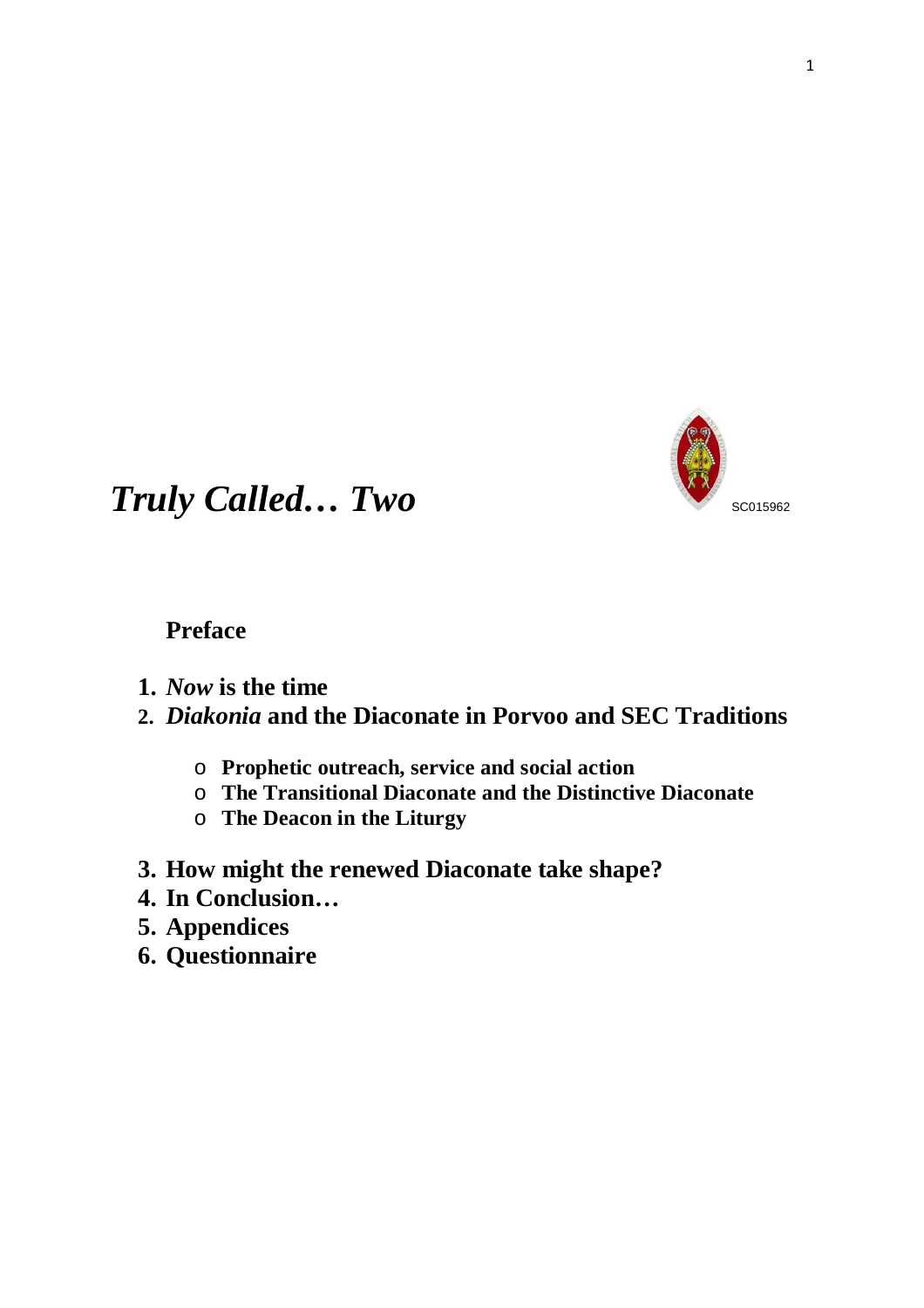

# **Truly Called… Two SCO15962**

# **Preface**

**1.** *Now* **is the time** 

# **2.** *Diakonia* **and the Diaconate in Porvoo and SEC Traditions**

- o **Prophetic outreach, service and social action**
- o **The Transitional Diaconate and the Distinctive Diaconate**
- o **The Deacon in the Liturgy**
- **3. How might the renewed Diaconate take shape?**
- **4. In Conclusion…**
- **5. Appendices**
- **6. Questionnaire**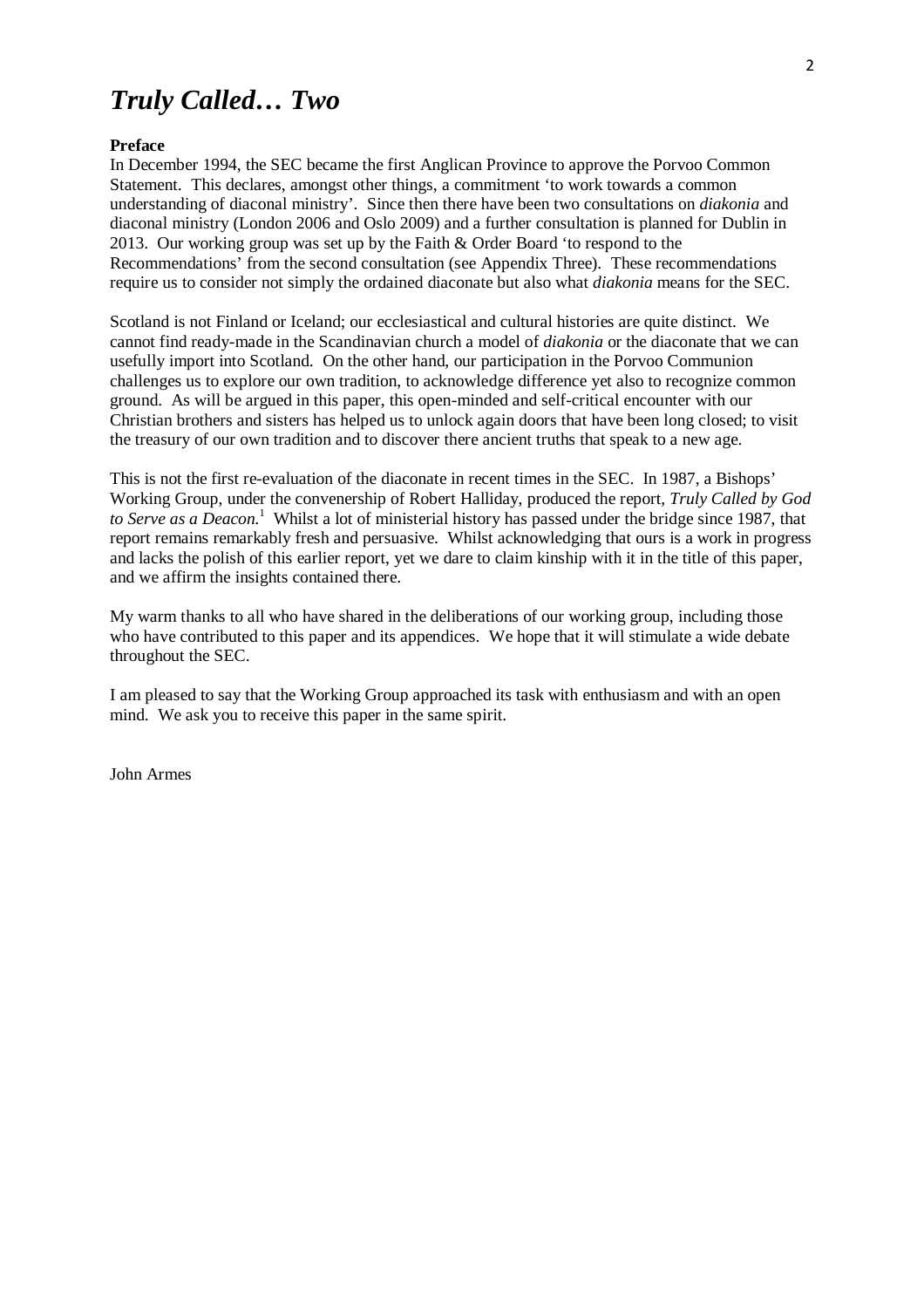# *Truly Called… Two*

#### **Preface**

In December 1994, the SEC became the first Anglican Province to approve the Porvoo Common Statement. This declares, amongst other things, a commitment 'to work towards a common understanding of diaconal ministry'. Since then there have been two consultations on *diakonia* and diaconal ministry (London 2006 and Oslo 2009) and a further consultation is planned for Dublin in 2013. Our working group was set up by the Faith & Order Board 'to respond to the Recommendations' from the second consultation (see Appendix Three). These recommendations require us to consider not simply the ordained diaconate but also what *diakonia* means for the SEC.

Scotland is not Finland or Iceland; our ecclesiastical and cultural histories are quite distinct. We cannot find ready-made in the Scandinavian church a model of *diakonia* or the diaconate that we can usefully import into Scotland. On the other hand, our participation in the Porvoo Communion challenges us to explore our own tradition, to acknowledge difference yet also to recognize common ground. As will be argued in this paper, this open-minded and self-critical encounter with our Christian brothers and sisters has helped us to unlock again doors that have been long closed; to visit the treasury of our own tradition and to discover there ancient truths that speak to a new age.

This is not the first re-evaluation of the diaconate in recent times in the SEC. In 1987, a Bishops' Working Group, under the convenership of Robert Halliday, produced the report, *Truly Called by God*  to Serve as a Deacon.<sup>1</sup> Whilst a lot of ministerial history has passed under the bridge since 1987, that report remains remarkably fresh and persuasive. Whilst acknowledging that ours is a work in progress and lacks the polish of this earlier report, yet we dare to claim kinship with it in the title of this paper, and we affirm the insights contained there.

My warm thanks to all who have shared in the deliberations of our working group, including those who have contributed to this paper and its appendices. We hope that it will stimulate a wide debate throughout the SEC.

I am pleased to say that the Working Group approached its task with enthusiasm and with an open mind. We ask you to receive this paper in the same spirit.

John Armes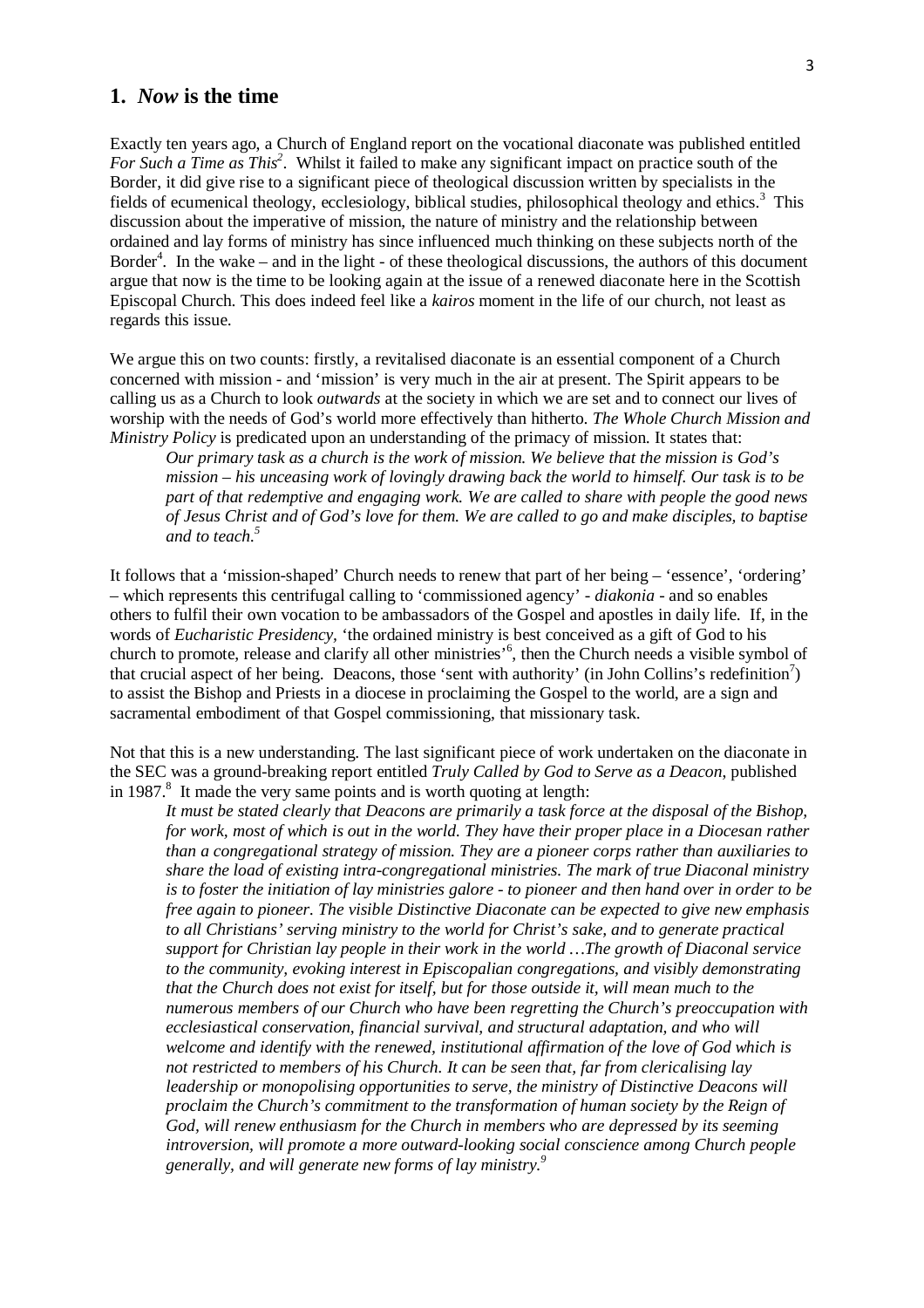### **1.** *Now* **is the time**

Exactly ten years ago, a Church of England report on the vocational diaconate was published entitled *For Such a Time as This<sup>2</sup>* . Whilst it failed to make any significant impact on practice south of the Border, it did give rise to a significant piece of theological discussion written by specialists in the fields of ecumenical theology, ecclesiology, biblical studies, philosophical theology and ethics.<sup>3</sup> This discussion about the imperative of mission, the nature of ministry and the relationship between ordained and lay forms of ministry has since influenced much thinking on these subjects north of the Border<sup>4</sup>. In the wake – and in the light - of these theological discussions, the authors of this document argue that now is the time to be looking again at the issue of a renewed diaconate here in the Scottish Episcopal Church. This does indeed feel like a *kairos* moment in the life of our church, not least as regards this issue.

We argue this on two counts: firstly, a revitalised diaconate is an essential component of a Church concerned with mission - and 'mission' is very much in the air at present. The Spirit appears to be calling us as a Church to look *outwards* at the society in which we are set and to connect our lives of worship with the needs of God's world more effectively than hitherto. *The Whole Church Mission and Ministry Policy* is predicated upon an understanding of the primacy of mission. It states that:

*Our primary task as a church is the work of mission. We believe that the mission is God's mission – his unceasing work of lovingly drawing back the world to himself. Our task is to be part of that redemptive and engaging work. We are called to share with people the good news of Jesus Christ and of God's love for them. We are called to go and make disciples, to baptise and to teach.<sup>5</sup>*

It follows that a 'mission-shaped' Church needs to renew that part of her being – 'essence', 'ordering' – which represents this centrifugal calling to 'commissioned agency' - *diakonia* - and so enables others to fulfil their own vocation to be ambassadors of the Gospel and apostles in daily life. If, in the words of *Eucharistic Presidency,* 'the ordained ministry is best conceived as a gift of God to his church to promote, release and clarify all other ministries'<sup>6</sup>, then the Church needs a visible symbol of that crucial aspect of her being. Deacons, those 'sent with authority' (in John Collins's redefinition<sup>7</sup>) to assist the Bishop and Priests in a diocese in proclaiming the Gospel to the world, are a sign and sacramental embodiment of that Gospel commissioning, that missionary task.

Not that this is a new understanding. The last significant piece of work undertaken on the diaconate in the SEC was a ground-breaking report entitled *Truly Called by God to Serve as a Deacon*, published in  $1987$ <sup>8</sup>. It made the very same points and is worth quoting at length:

*It must be stated clearly that Deacons are primarily a task force at the disposal of the Bishop, for work, most of which is out in the world. They have their proper place in a Diocesan rather than a congregational strategy of mission. They are a pioneer corps rather than auxiliaries to share the load of existing intra-congregational ministries. The mark of true Diaconal ministry is to foster the initiation of lay ministries galore - to pioneer and then hand over in order to be free again to pioneer. The visible Distinctive Diaconate can be expected to give new emphasis to all Christians' serving ministry to the world for Christ's sake, and to generate practical support for Christian lay people in their work in the world …The growth of Diaconal service to the community, evoking interest in Episcopalian congregations, and visibly demonstrating that the Church does not exist for itself, but for those outside it, will mean much to the numerous members of our Church who have been regretting the Church's preoccupation with ecclesiastical conservation, financial survival, and structural adaptation, and who will welcome and identify with the renewed, institutional affirmation of the love of God which is not restricted to members of his Church. It can be seen that, far from clericalising lay leadership or monopolising opportunities to serve, the ministry of Distinctive Deacons will proclaim the Church's commitment to the transformation of human society by the Reign of God, will renew enthusiasm for the Church in members who are depressed by its seeming introversion, will promote a more outward-looking social conscience among Church people generally, and will generate new forms of lay ministry.<sup>9</sup>*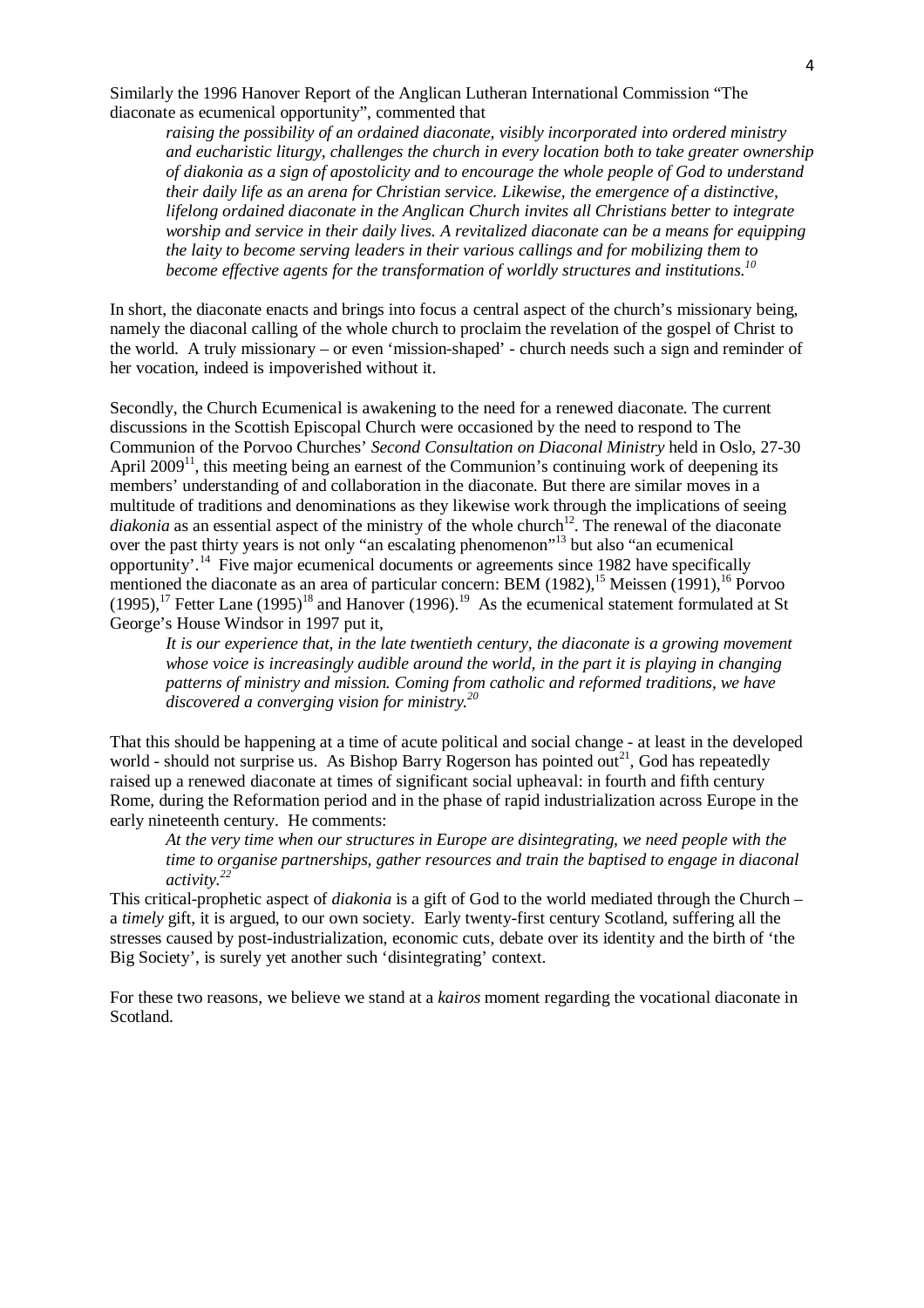Similarly the 1996 Hanover Report of the Anglican Lutheran International Commission "The diaconate as ecumenical opportunity", commented that

*raising the possibility of an ordained diaconate, visibly incorporated into ordered ministry and eucharistic liturgy, challenges the church in every location both to take greater ownership of diakonia as a sign of apostolicity and to encourage the whole people of God to understand their daily life as an arena for Christian service. Likewise, the emergence of a distinctive, lifelong ordained diaconate in the Anglican Church invites all Christians better to integrate worship and service in their daily lives. A revitalized diaconate can be a means for equipping the laity to become serving leaders in their various callings and for mobilizing them to become effective agents for the transformation of worldly structures and institutions.<sup>10</sup>*

In short, the diaconate enacts and brings into focus a central aspect of the church's missionary being, namely the diaconal calling of the whole church to proclaim the revelation of the gospel of Christ to the world. A truly missionary – or even 'mission-shaped' - church needs such a sign and reminder of her vocation, indeed is impoverished without it.

Secondly, the Church Ecumenical is awakening to the need for a renewed diaconate. The current discussions in the Scottish Episcopal Church were occasioned by the need to respond to The Communion of the Porvoo Churches' *Second Consultation on Diaconal Ministry* held in Oslo, 27-30 April  $2009<sup>11</sup>$ , this meeting being an earnest of the Communion's continuing work of deepening its members' understanding of and collaboration in the diaconate. But there are similar moves in a multitude of traditions and denominations as they likewise work through the implications of seeing *diakonia* as an essential aspect of the ministry of the whole church<sup>12</sup>. The renewal of the diaconate over the past thirty years is not only "an escalating phenomenon"<sup>13</sup> but also "an ecumenical opportunity'.<sup>14</sup> Five major ecumenical documents or agreements since 1982 have specifically mentioned the diaconate as an area of particular concern: BEM (1982),<sup>15</sup> Meissen (1991),<sup>16</sup> Porvoo  $(1995)$ ,<sup>17</sup> Fetter Lane  $(1995)$ <sup>18</sup> and Hanover  $(1996)$ .<sup>19</sup> As the ecumenical statement formulated at St George's House Windsor in 1997 put it,

*It is our experience that, in the late twentieth century, the diaconate is a growing movement whose voice is increasingly audible around the world, in the part it is playing in changing patterns of ministry and mission. Coming from catholic and reformed traditions, we have discovered a converging vision for ministry.<sup>20</sup>*

That this should be happening at a time of acute political and social change - at least in the developed world - should not surprise us. As Bishop Barry Rogerson has pointed out<sup>21</sup>, God has repeatedly raised up a renewed diaconate at times of significant social upheaval: in fourth and fifth century Rome, during the Reformation period and in the phase of rapid industrialization across Europe in the early nineteenth century. He comments:

*At the very time when our structures in Europe are disintegrating, we need people with the time to organise partnerships, gather resources and train the baptised to engage in diaconal activity.<sup>22</sup>*

This critical-prophetic aspect of *diakonia* is a gift of God to the world mediated through the Church – a *timely* gift, it is argued, to our own society. Early twenty-first century Scotland, suffering all the stresses caused by post-industrialization, economic cuts, debate over its identity and the birth of 'the Big Society', is surely yet another such 'disintegrating' context.

For these two reasons, we believe we stand at a *kairos* moment regarding the vocational diaconate in Scotland.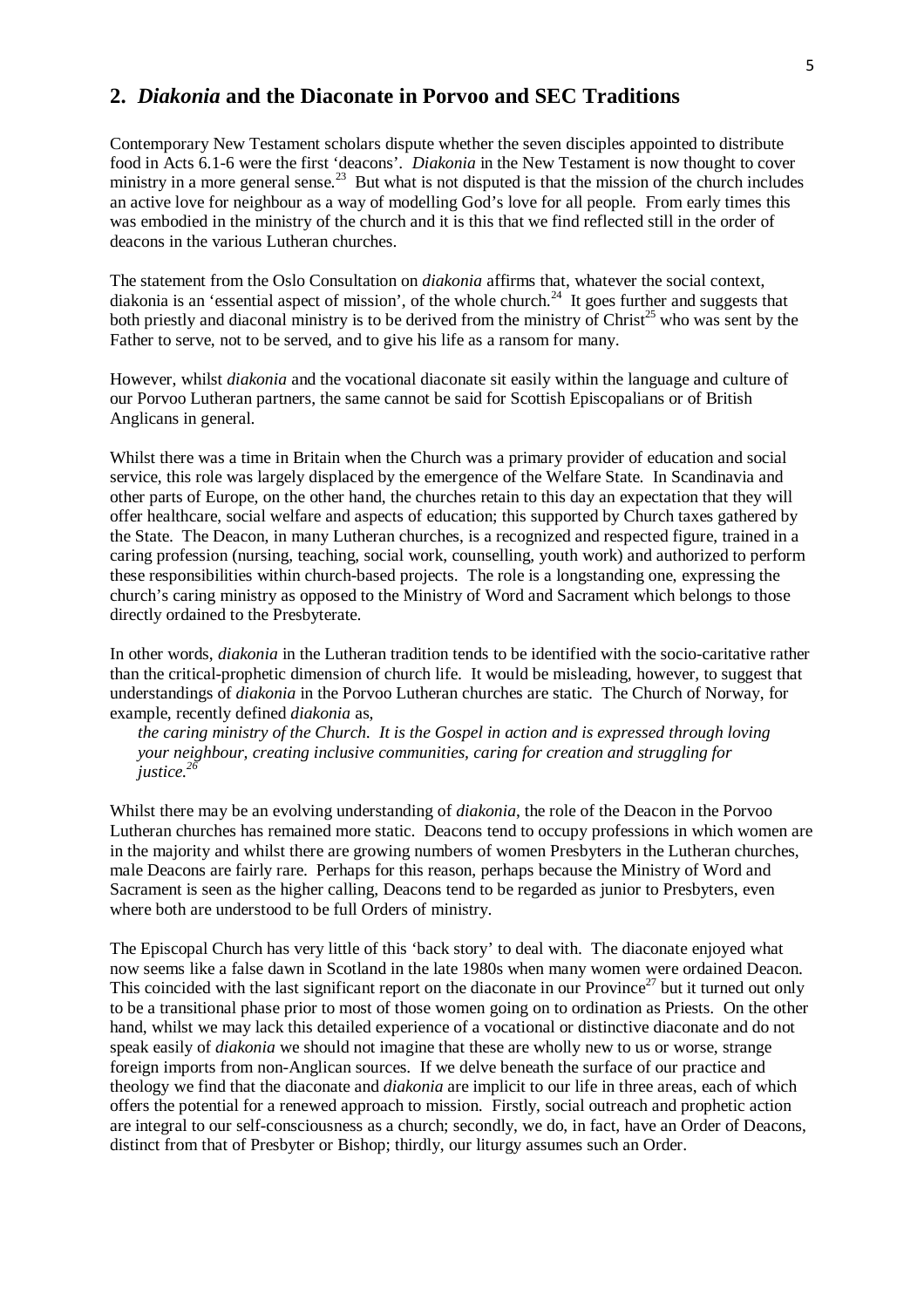### **2.** *Diakonia* **and the Diaconate in Porvoo and SEC Traditions**

Contemporary New Testament scholars dispute whether the seven disciples appointed to distribute food in Acts 6.1-6 were the first 'deacons'. *Diakonia* in the New Testament is now thought to cover ministry in a more general sense.<sup>23</sup> But what is not disputed is that the mission of the church includes an active love for neighbour as a way of modelling God's love for all people. From early times this was embodied in the ministry of the church and it is this that we find reflected still in the order of deacons in the various Lutheran churches.

The statement from the Oslo Consultation on *diakonia* affirms that, whatever the social context, diakonia is an 'essential aspect of mission', of the whole church.<sup>24</sup> It goes further and suggests that both priestly and diaconal ministry is to be derived from the ministry of Christ<sup>25</sup> who was sent by the Father to serve, not to be served, and to give his life as a ransom for many.

However, whilst *diakonia* and the vocational diaconate sit easily within the language and culture of our Porvoo Lutheran partners, the same cannot be said for Scottish Episcopalians or of British Anglicans in general.

Whilst there was a time in Britain when the Church was a primary provider of education and social service, this role was largely displaced by the emergence of the Welfare State. In Scandinavia and other parts of Europe, on the other hand, the churches retain to this day an expectation that they will offer healthcare, social welfare and aspects of education; this supported by Church taxes gathered by the State. The Deacon, in many Lutheran churches, is a recognized and respected figure, trained in a caring profession (nursing, teaching, social work, counselling, youth work) and authorized to perform these responsibilities within church-based projects. The role is a longstanding one, expressing the church's caring ministry as opposed to the Ministry of Word and Sacrament which belongs to those directly ordained to the Presbyterate.

In other words, *diakonia* in the Lutheran tradition tends to be identified with the socio-caritative rather than the critical-prophetic dimension of church life. It would be misleading, however, to suggest that understandings of *diakonia* in the Porvoo Lutheran churches are static. The Church of Norway, for example, recently defined *diakonia* as,

*the caring ministry of the Church. It is the Gospel in action and is expressed through loving your neighbour, creating inclusive communities, caring for creation and struggling for justice.<sup>26</sup>*

Whilst there may be an evolving understanding of *diakonia*, the role of the Deacon in the Porvoo Lutheran churches has remained more static. Deacons tend to occupy professions in which women are in the majority and whilst there are growing numbers of women Presbyters in the Lutheran churches, male Deacons are fairly rare. Perhaps for this reason, perhaps because the Ministry of Word and Sacrament is seen as the higher calling, Deacons tend to be regarded as junior to Presbyters, even where both are understood to be full Orders of ministry.

The Episcopal Church has very little of this 'back story' to deal with. The diaconate enjoyed what now seems like a false dawn in Scotland in the late 1980s when many women were ordained Deacon. This coincided with the last significant report on the diaconate in our Province<sup>27</sup> but it turned out only to be a transitional phase prior to most of those women going on to ordination as Priests. On the other hand, whilst we may lack this detailed experience of a vocational or distinctive diaconate and do not speak easily of *diakonia* we should not imagine that these are wholly new to us or worse, strange foreign imports from non-Anglican sources. If we delve beneath the surface of our practice and theology we find that the diaconate and *diakonia* are implicit to our life in three areas, each of which offers the potential for a renewed approach to mission. Firstly, social outreach and prophetic action are integral to our self-consciousness as a church; secondly, we do, in fact, have an Order of Deacons, distinct from that of Presbyter or Bishop; thirdly, our liturgy assumes such an Order.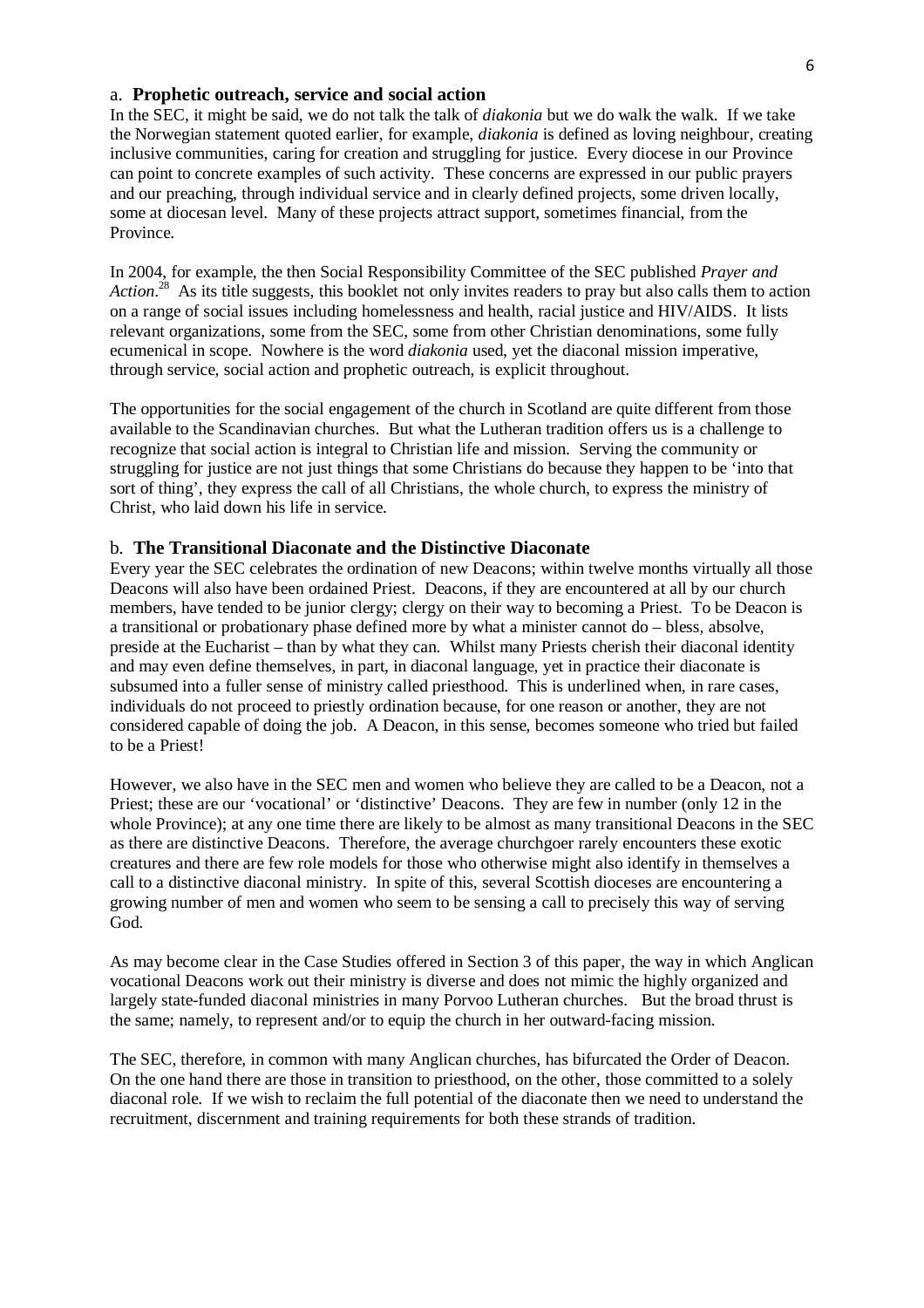#### a. **Prophetic outreach, service and social action**

In the SEC, it might be said, we do not talk the talk of *diakonia* but we do walk the walk. If we take the Norwegian statement quoted earlier, for example, *diakonia* is defined as loving neighbour, creating inclusive communities, caring for creation and struggling for justice. Every diocese in our Province can point to concrete examples of such activity. These concerns are expressed in our public prayers and our preaching, through individual service and in clearly defined projects, some driven locally, some at diocesan level. Many of these projects attract support, sometimes financial, from the Province.

In 2004, for example, the then Social Responsibility Committee of the SEC published *Prayer and*  Action.<sup>28</sup> As its title suggests, this booklet not only invites readers to pray but also calls them to action on a range of social issues including homelessness and health, racial justice and HIV/AIDS. It lists relevant organizations, some from the SEC, some from other Christian denominations, some fully ecumenical in scope. Nowhere is the word *diakonia* used, yet the diaconal mission imperative, through service, social action and prophetic outreach, is explicit throughout.

The opportunities for the social engagement of the church in Scotland are quite different from those available to the Scandinavian churches. But what the Lutheran tradition offers us is a challenge to recognize that social action is integral to Christian life and mission. Serving the community or struggling for justice are not just things that some Christians do because they happen to be 'into that sort of thing', they express the call of all Christians, the whole church, to express the ministry of Christ, who laid down his life in service.

#### b. **The Transitional Diaconate and the Distinctive Diaconate**

Every year the SEC celebrates the ordination of new Deacons; within twelve months virtually all those Deacons will also have been ordained Priest. Deacons, if they are encountered at all by our church members, have tended to be junior clergy; clergy on their way to becoming a Priest. To be Deacon is a transitional or probationary phase defined more by what a minister cannot do – bless, absolve, preside at the Eucharist – than by what they can. Whilst many Priests cherish their diaconal identity and may even define themselves, in part, in diaconal language, yet in practice their diaconate is subsumed into a fuller sense of ministry called priesthood. This is underlined when, in rare cases, individuals do not proceed to priestly ordination because, for one reason or another, they are not considered capable of doing the job. A Deacon, in this sense, becomes someone who tried but failed to be a Priest!

However, we also have in the SEC men and women who believe they are called to be a Deacon, not a Priest; these are our 'vocational' or 'distinctive' Deacons. They are few in number (only 12 in the whole Province); at any one time there are likely to be almost as many transitional Deacons in the SEC as there are distinctive Deacons. Therefore, the average churchgoer rarely encounters these exotic creatures and there are few role models for those who otherwise might also identify in themselves a call to a distinctive diaconal ministry. In spite of this, several Scottish dioceses are encountering a growing number of men and women who seem to be sensing a call to precisely this way of serving God.

As may become clear in the Case Studies offered in Section 3 of this paper, the way in which Anglican vocational Deacons work out their ministry is diverse and does not mimic the highly organized and largely state-funded diaconal ministries in many Porvoo Lutheran churches. But the broad thrust is the same; namely, to represent and/or to equip the church in her outward-facing mission.

The SEC, therefore, in common with many Anglican churches, has bifurcated the Order of Deacon. On the one hand there are those in transition to priesthood, on the other, those committed to a solely diaconal role. If we wish to reclaim the full potential of the diaconate then we need to understand the recruitment, discernment and training requirements for both these strands of tradition.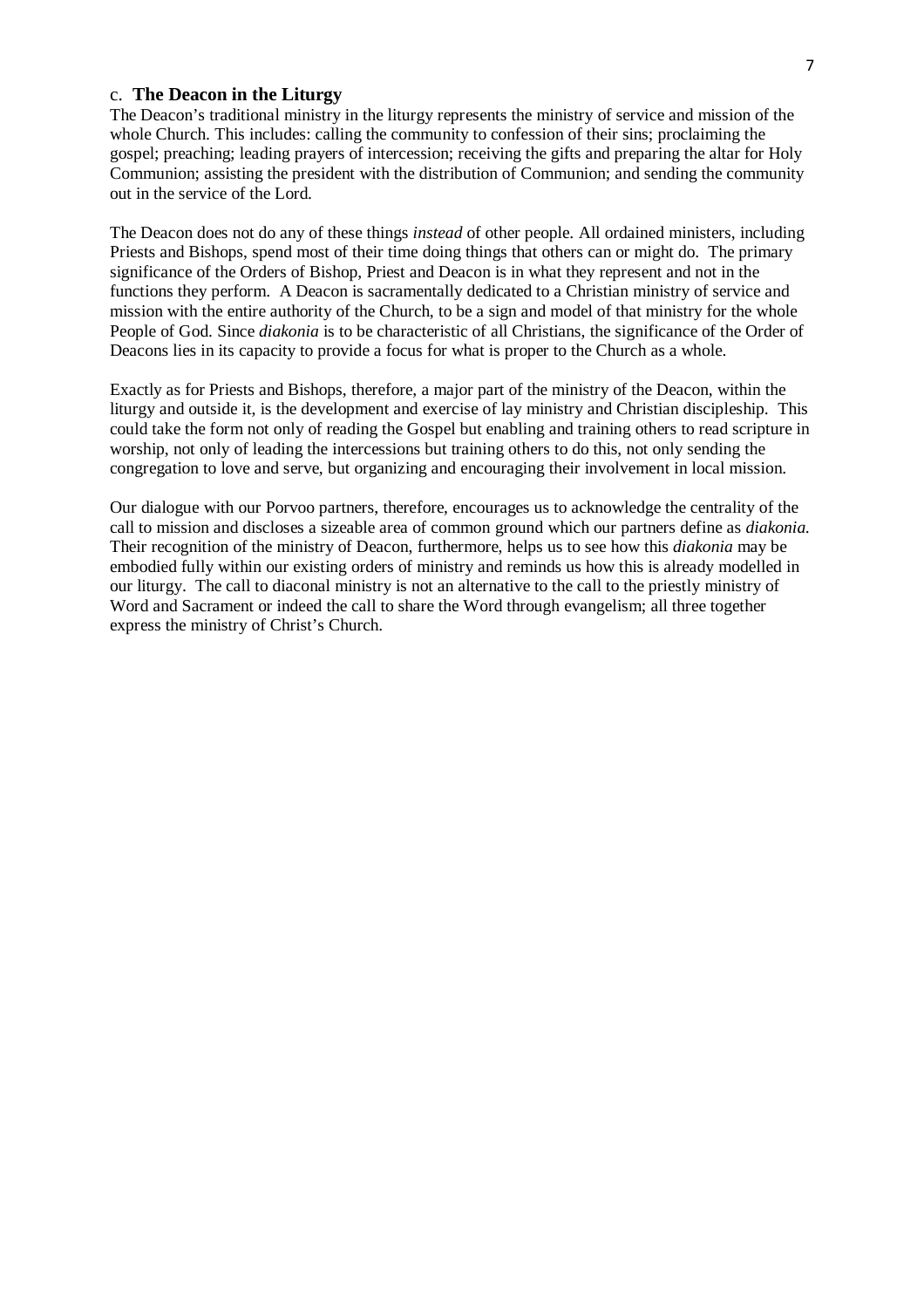#### c. **The Deacon in the Liturgy**

The Deacon's traditional ministry in the liturgy represents the ministry of service and mission of the whole Church. This includes: calling the community to confession of their sins; proclaiming the gospel; preaching; leading prayers of intercession; receiving the gifts and preparing the altar for Holy Communion; assisting the president with the distribution of Communion; and sending the community out in the service of the Lord.

The Deacon does not do any of these things *instead* of other people. All ordained ministers, including Priests and Bishops, spend most of their time doing things that others can or might do. The primary significance of the Orders of Bishop, Priest and Deacon is in what they represent and not in the functions they perform. A Deacon is sacramentally dedicated to a Christian ministry of service and mission with the entire authority of the Church, to be a sign and model of that ministry for the whole People of God. Since *diakonia* is to be characteristic of all Christians, the significance of the Order of Deacons lies in its capacity to provide a focus for what is proper to the Church as a whole.

Exactly as for Priests and Bishops, therefore, a major part of the ministry of the Deacon, within the liturgy and outside it, is the development and exercise of lay ministry and Christian discipleship. This could take the form not only of reading the Gospel but enabling and training others to read scripture in worship, not only of leading the intercessions but training others to do this, not only sending the congregation to love and serve, but organizing and encouraging their involvement in local mission.

Our dialogue with our Porvoo partners, therefore, encourages us to acknowledge the centrality of the call to mission and discloses a sizeable area of common ground which our partners define as *diakonia*. Their recognition of the ministry of Deacon, furthermore, helps us to see how this *diakonia* may be embodied fully within our existing orders of ministry and reminds us how this is already modelled in our liturgy. The call to diaconal ministry is not an alternative to the call to the priestly ministry of Word and Sacrament or indeed the call to share the Word through evangelism; all three together express the ministry of Christ's Church.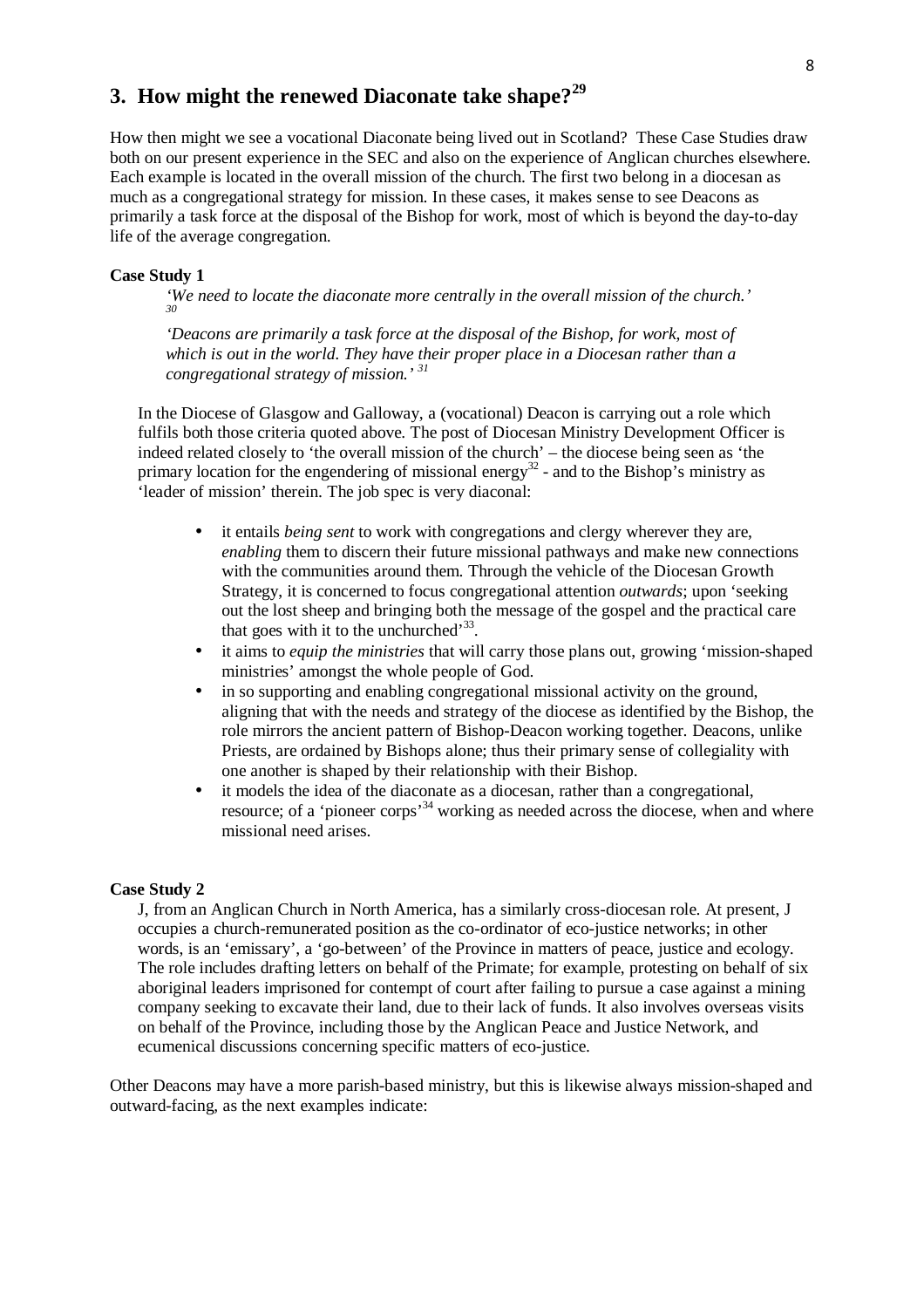# **3. How might the renewed Diaconate take shape?<sup>29</sup>**

How then might we see a vocational Diaconate being lived out in Scotland? These Case Studies draw both on our present experience in the SEC and also on the experience of Anglican churches elsewhere. Each example is located in the overall mission of the church. The first two belong in a diocesan as much as a congregational strategy for mission. In these cases, it makes sense to see Deacons as primarily a task force at the disposal of the Bishop for work, most of which is beyond the day-to-day life of the average congregation.

#### **Case Study 1**

*'We need to locate the diaconate more centrally in the overall mission of the church.' 30*

*'Deacons are primarily a task force at the disposal of the Bishop, for work, most of which is out in the world. They have their proper place in a Diocesan rather than a congregational strategy of mission.' <sup>31</sup>*

In the Diocese of Glasgow and Galloway, a (vocational) Deacon is carrying out a role which fulfils both those criteria quoted above. The post of Diocesan Ministry Development Officer is indeed related closely to 'the overall mission of the church' – the diocese being seen as 'the primary location for the engendering of missional energy<sup>32</sup> - and to the Bishop's ministry as 'leader of mission' therein. The job spec is very diaconal:

- it entails *being sent* to work with congregations and clergy wherever they are, *enabling* them to discern their future missional pathways and make new connections with the communities around them. Through the vehicle of the Diocesan Growth Strategy, it is concerned to focus congregational attention *outwards*; upon 'seeking out the lost sheep and bringing both the message of the gospel and the practical care that goes with it to the unchurched<sup> $33$ </sup>.
- it aims to *equip the ministries* that will carry those plans out, growing 'mission-shaped ministries' amongst the whole people of God.
- in so supporting and enabling congregational missional activity on the ground, aligning that with the needs and strategy of the diocese as identified by the Bishop, the role mirrors the ancient pattern of Bishop-Deacon working together*.* Deacons, unlike Priests, are ordained by Bishops alone; thus their primary sense of collegiality with one another is shaped by their relationship with their Bishop.
- it models the idea of the diaconate as a diocesan, rather than a congregational, resource; of a 'pioneer corps'<sup>34</sup> working as needed across the diocese, when and where missional need arises.

#### **Case Study 2**

J, from an Anglican Church in North America, has a similarly cross-diocesan role. At present, J occupies a church-remunerated position as the co-ordinator of eco-justice networks; in other words, is an 'emissary', a 'go-between' of the Province in matters of peace, justice and ecology. The role includes drafting letters on behalf of the Primate; for example, protesting on behalf of six aboriginal leaders imprisoned for contempt of court after failing to pursue a case against a mining company seeking to excavate their land, due to their lack of funds. It also involves overseas visits on behalf of the Province, including those by the Anglican Peace and Justice Network, and ecumenical discussions concerning specific matters of eco-justice.

Other Deacons may have a more parish-based ministry, but this is likewise always mission-shaped and outward-facing, as the next examples indicate: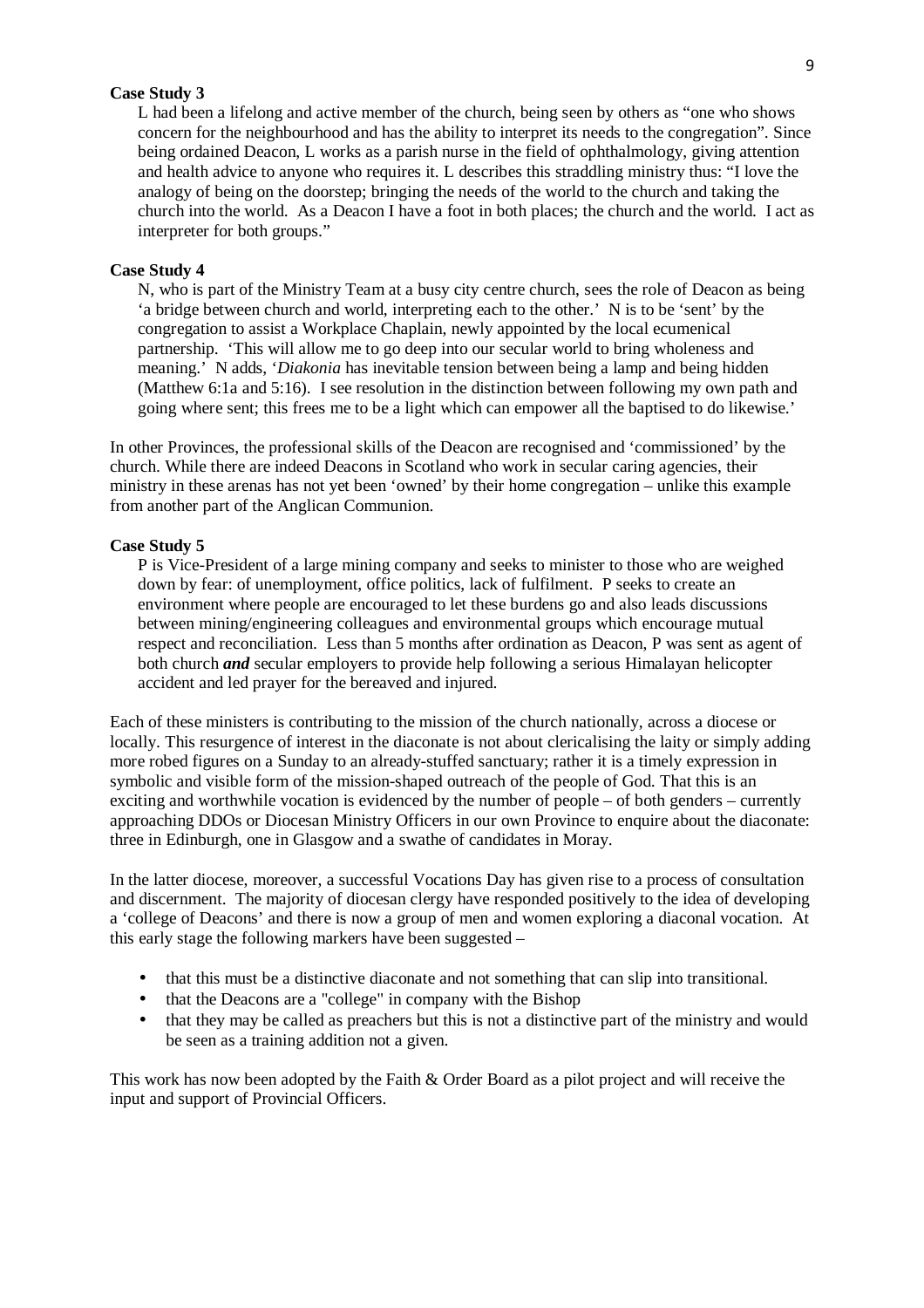#### **Case Study 3**

L had been a lifelong and active member of the church, being seen by others as "one who shows concern for the neighbourhood and has the ability to interpret its needs to the congregation". Since being ordained Deacon, L works as a parish nurse in the field of ophthalmology, giving attention and health advice to anyone who requires it. L describes this straddling ministry thus: "I love the analogy of being on the doorstep; bringing the needs of the world to the church and taking the church into the world. As a Deacon I have a foot in both places; the church and the world. I act as interpreter for both groups."

#### **Case Study 4**

N, who is part of the Ministry Team at a busy city centre church, sees the role of Deacon as being 'a bridge between church and world, interpreting each to the other.' N is to be 'sent' by the congregation to assist a Workplace Chaplain, newly appointed by the local ecumenical partnership. 'This will allow me to go deep into our secular world to bring wholeness and meaning.' N adds, '*Diakonia* has inevitable tension between being a lamp and being hidden (Matthew 6:1a and 5:16). I see resolution in the distinction between following my own path and going where sent; this frees me to be a light which can empower all the baptised to do likewise.'

In other Provinces, the professional skills of the Deacon are recognised and 'commissioned' by the church. While there are indeed Deacons in Scotland who work in secular caring agencies, their ministry in these arenas has not yet been 'owned' by their home congregation – unlike this example from another part of the Anglican Communion.

#### **Case Study 5**

P is Vice-President of a large mining company and seeks to minister to those who are weighed down by fear: of unemployment, office politics, lack of fulfilment. P seeks to create an environment where people are encouraged to let these burdens go and also leads discussions between mining/engineering colleagues and environmental groups which encourage mutual respect and reconciliation. Less than 5 months after ordination as Deacon, P was sent as agent of both church *and* secular employers to provide help following a serious Himalayan helicopter accident and led prayer for the bereaved and injured.

Each of these ministers is contributing to the mission of the church nationally, across a diocese or locally. This resurgence of interest in the diaconate is not about clericalising the laity or simply adding more robed figures on a Sunday to an already-stuffed sanctuary; rather it is a timely expression in symbolic and visible form of the mission-shaped outreach of the people of God. That this is an exciting and worthwhile vocation is evidenced by the number of people – of both genders – currently approaching DDOs or Diocesan Ministry Officers in our own Province to enquire about the diaconate: three in Edinburgh, one in Glasgow and a swathe of candidates in Moray.

In the latter diocese, moreover, a successful Vocations Day has given rise to a process of consultation and discernment. The majority of diocesan clergy have responded positively to the idea of developing a 'college of Deacons' and there is now a group of men and women exploring a diaconal vocation. At this early stage the following markers have been suggested –

- that this must be a distinctive diaconate and not something that can slip into transitional.
- that the Deacons are a "college" in company with the Bishop
- that they may be called as preachers but this is not a distinctive part of the ministry and would be seen as a training addition not a given.

This work has now been adopted by the Faith & Order Board as a pilot project and will receive the input and support of Provincial Officers.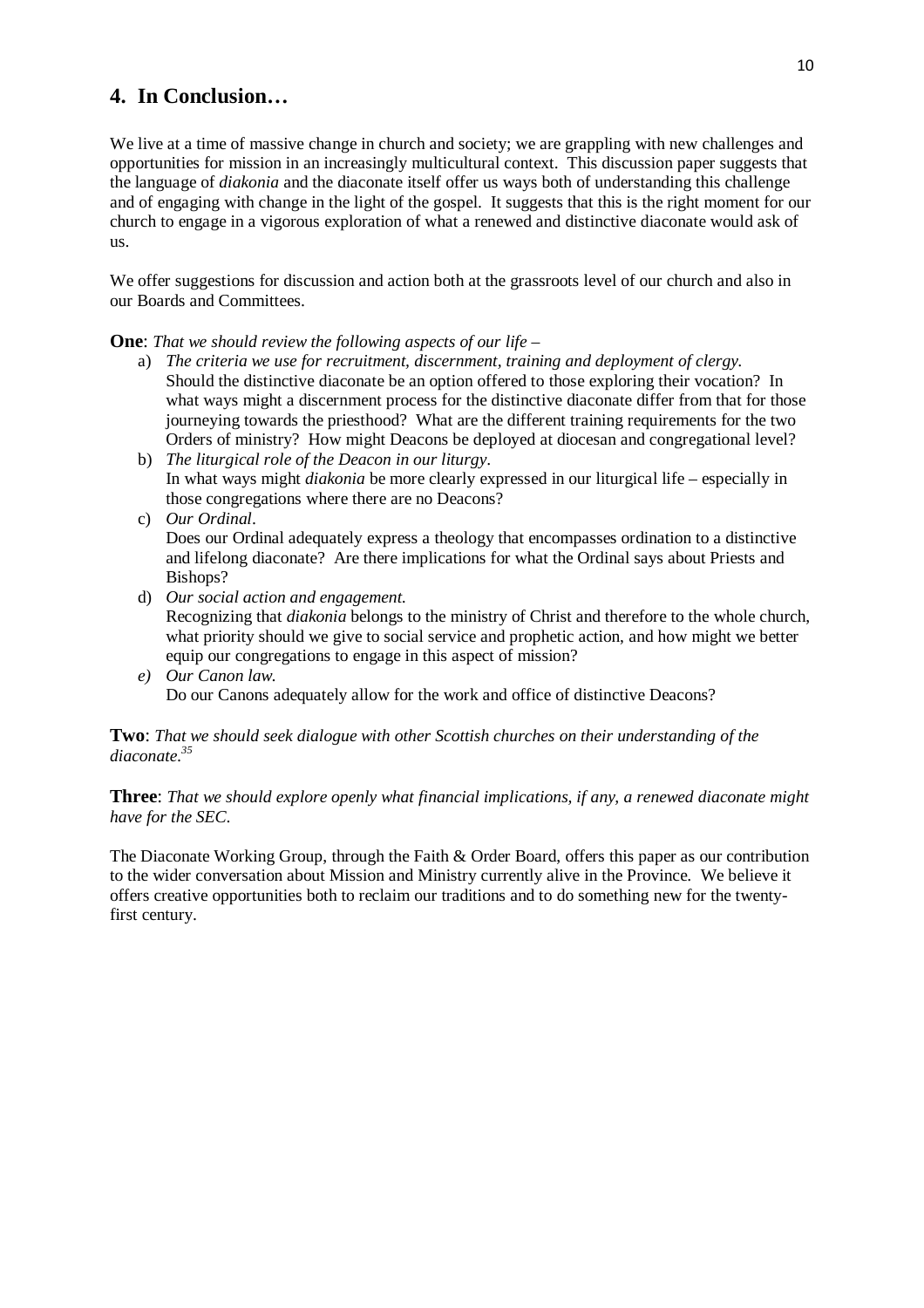# **4. In Conclusion…**

We live at a time of massive change in church and society; we are grappling with new challenges and opportunities for mission in an increasingly multicultural context. This discussion paper suggests that the language of *diakonia* and the diaconate itself offer us ways both of understanding this challenge and of engaging with change in the light of the gospel. It suggests that this is the right moment for our church to engage in a vigorous exploration of what a renewed and distinctive diaconate would ask of us.

We offer suggestions for discussion and action both at the grassroots level of our church and also in our Boards and Committees.

**One**: *That we should review the following aspects of our life –* 

- a) *The criteria we use for recruitment, discernment, training and deployment of clergy.*  Should the distinctive diaconate be an option offered to those exploring their vocation? In what ways might a discernment process for the distinctive diaconate differ from that for those journeying towards the priesthood? What are the different training requirements for the two Orders of ministry? How might Deacons be deployed at diocesan and congregational level?
- b) *The liturgical role of the Deacon in our liturgy*. In what ways might *diakonia* be more clearly expressed in our liturgical life – especially in those congregations where there are no Deacons?
- c) *Our Ordinal*.

Does our Ordinal adequately express a theology that encompasses ordination to a distinctive and lifelong diaconate? Are there implications for what the Ordinal says about Priests and Bishops?

- d) *Our social action and engagement.*  Recognizing that *diakonia* belongs to the ministry of Christ and therefore to the whole church, what priority should we give to social service and prophetic action, and how might we better equip our congregations to engage in this aspect of mission?
- *e) Our Canon law.*  Do our Canons adequately allow for the work and office of distinctive Deacons?

#### **Two**: *That we should seek dialogue with other Scottish churches on their understanding of the diaconate.<sup>35</sup>*

**Three**: *That we should explore openly what financial implications, if any, a renewed diaconate might have for the SEC*.

The Diaconate Working Group, through the Faith & Order Board, offers this paper as our contribution to the wider conversation about Mission and Ministry currently alive in the Province. We believe it offers creative opportunities both to reclaim our traditions and to do something new for the twentyfirst century.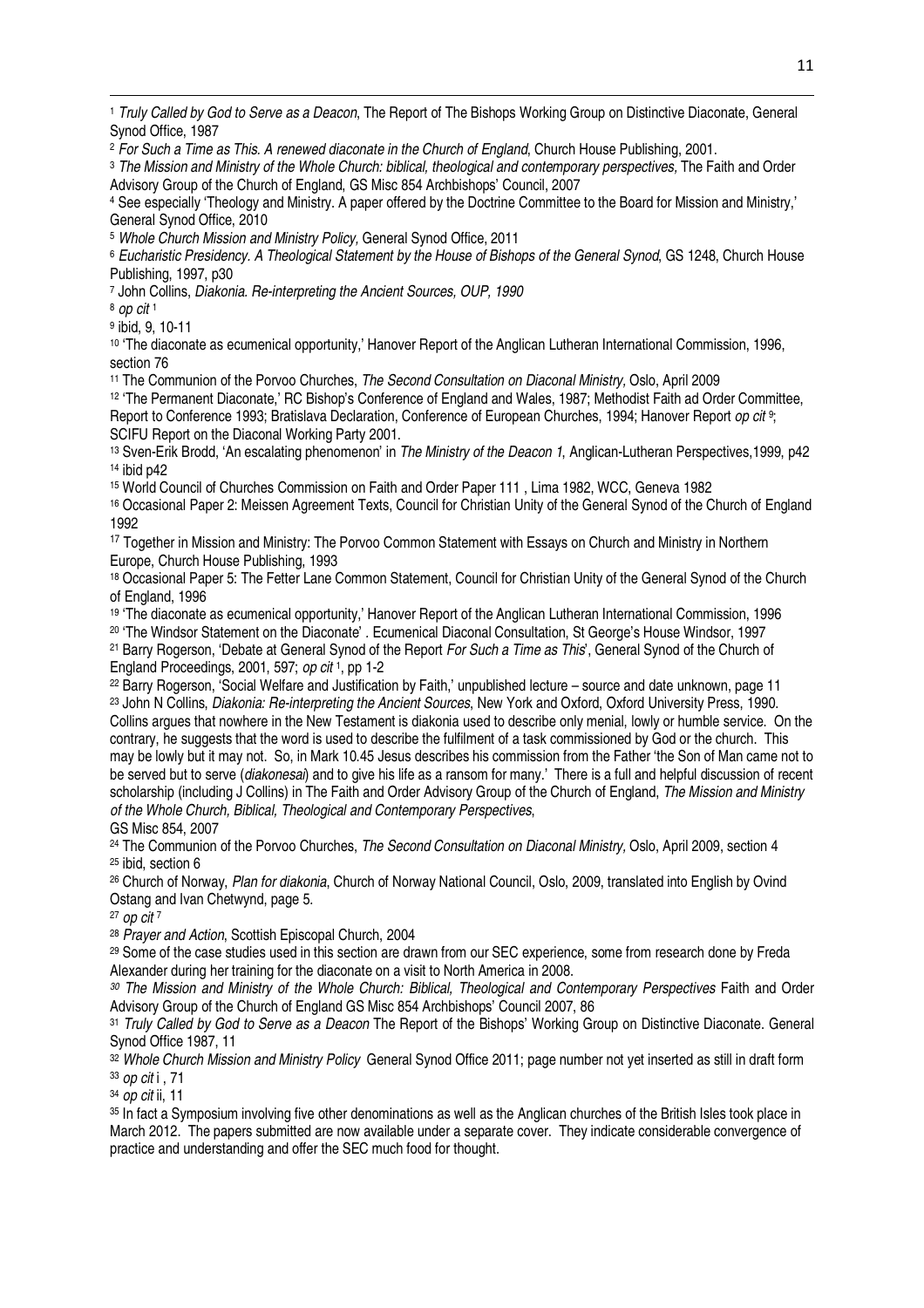<sup>1</sup> Truly Called by God to Serve as a Deacon, The Report of The Bishops Working Group on Distinctive Diaconate, General Synod Office, 1987

<sup>2</sup> For Such a Time as This. A renewed diaconate in the Church of England, Church House Publishing, 2001.

<sup>3</sup> The Mission and Ministry of the Whole Church: biblical, theological and contemporary perspectives, The Faith and Order Advisory Group of the Church of England, GS Misc 854 Archbishops' Council, 2007

4 See especially 'Theology and Ministry. A paper offered by the Doctrine Committee to the Board for Mission and Ministry,' General Synod Office, 2010

<sup>5</sup> Whole Church Mission and Ministry Policy, General Synod Office, 2011

<sup>6</sup> Eucharistic Presidency. A Theological Statement by the House of Bishops of the General Synod, GS 1248, Church House Publishing, 1997, p30

7 John Collins, Diakonia. Re-interpreting the Ancient Sources, OUP, 1990

<sup>8</sup> op cit <sup>1</sup>

 $\overline{a}$ 

9 ibid, 9, 10-11

<sup>10</sup> 'The diaconate as ecumenical opportunity,' Hanover Report of the Anglican Lutheran International Commission, 1996, section 76

<sup>11</sup> The Communion of the Porvoo Churches, The Second Consultation on Diaconal Ministry, Oslo, April 2009

<sup>12</sup> 'The Permanent Diaconate,' RC Bishop's Conference of England and Wales, 1987; Methodist Faith ad Order Committee, Report to Conference 1993; Bratislava Declaration, Conference of European Churches, 1994; Hanover Report op cit <sup>9</sup>; SCIFU Report on the Diaconal Working Party 2001.

<sup>13</sup> Sven-Erik Brodd, 'An escalating phenomenon' in The Ministry of the Deacon 1, Anglican-Lutheran Perspectives,1999, p42 <sup>14</sup> ibid p42

<sup>15</sup> World Council of Churches Commission on Faith and Order Paper 111 , Lima 1982, WCC, Geneva 1982

<sup>16</sup> Occasional Paper 2: Meissen Agreement Texts, Council for Christian Unity of the General Synod of the Church of England 1992

<sup>17</sup> Together in Mission and Ministry: The Porvoo Common Statement with Essays on Church and Ministry in Northern Europe, Church House Publishing, 1993

<sup>18</sup> Occasional Paper 5: The Fetter Lane Common Statement, Council for Christian Unity of the General Synod of the Church of England, 1996

<sup>19</sup> 'The diaconate as ecumenical opportunity,' Hanover Report of the Anglican Lutheran International Commission, 1996

<sup>20</sup> 'The Windsor Statement on the Diaconate' . Ecumenical Diaconal Consultation, St George's House Windsor, 1997

<sup>21</sup> Barry Rogerson, 'Debate at General Synod of the Report For Such a Time as This', General Synod of the Church of England Proceedings, 2001, 597; op cit<sup>1</sup>, pp 1-2

<sup>22</sup> Barry Rogerson, 'Social Welfare and Justification by Faith,' unpublished lecture – source and date unknown, page 11

<sup>23</sup> John N Collins, Diakonia: Re-interpreting the Ancient Sources, New York and Oxford, Oxford University Press, 1990. Collins argues that nowhere in the New Testament is diakonia used to describe only menial, lowly or humble service. On the contrary, he suggests that the word is used to describe the fulfilment of a task commissioned by God or the church. This may be lowly but it may not. So, in Mark 10.45 Jesus describes his commission from the Father 'the Son of Man came not to be served but to serve (diakonesai) and to give his life as a ransom for many.' There is a full and helpful discussion of recent scholarship (including J Collins) in The Faith and Order Advisory Group of the Church of England, The Mission and Ministry of the Whole Church, Biblical, Theological and Contemporary Perspectives, GS Misc 854, 2007

<sup>24</sup> The Communion of the Porvoo Churches, *The Second Consultation on Diaconal Ministry*, Oslo, April 2009, section 4 <sup>25</sup> ibid, section 6

<sup>26</sup> Church of Norway, Plan for diakonia, Church of Norway National Council, Oslo, 2009, translated into English by Ovind Ostang and Ivan Chetwynd, page 5.

<sup>27</sup> op cit <sup>7</sup>

<sup>28</sup> Prayer and Action, Scottish Episcopal Church, 2004

<sup>29</sup> Some of the case studies used in this section are drawn from our SEC experience, some from research done by Freda Alexander during her training for the diaconate on a visit to North America in 2008.

<sup>30</sup> The Mission and Ministry of the Whole Church: Biblical, Theological and Contemporary Perspectives Faith and Order Advisory Group of the Church of England GS Misc 854 Archbishops' Council 2007, 86

<sup>31</sup> Truly Called by God to Serve as a Deacon The Report of the Bishops' Working Group on Distinctive Diaconate. General Synod Office 1987, 11

32 Whole Church Mission and Ministry Policy General Synod Office 2011; page number not yet inserted as still in draft form <sup>33</sup> op cit i , 71

<sup>34</sup> op cit ii, 11

<sup>35</sup> In fact a Symposium involving five other denominations as well as the Anglican churches of the British Isles took place in March 2012. The papers submitted are now available under a separate cover. They indicate considerable convergence of practice and understanding and offer the SEC much food for thought.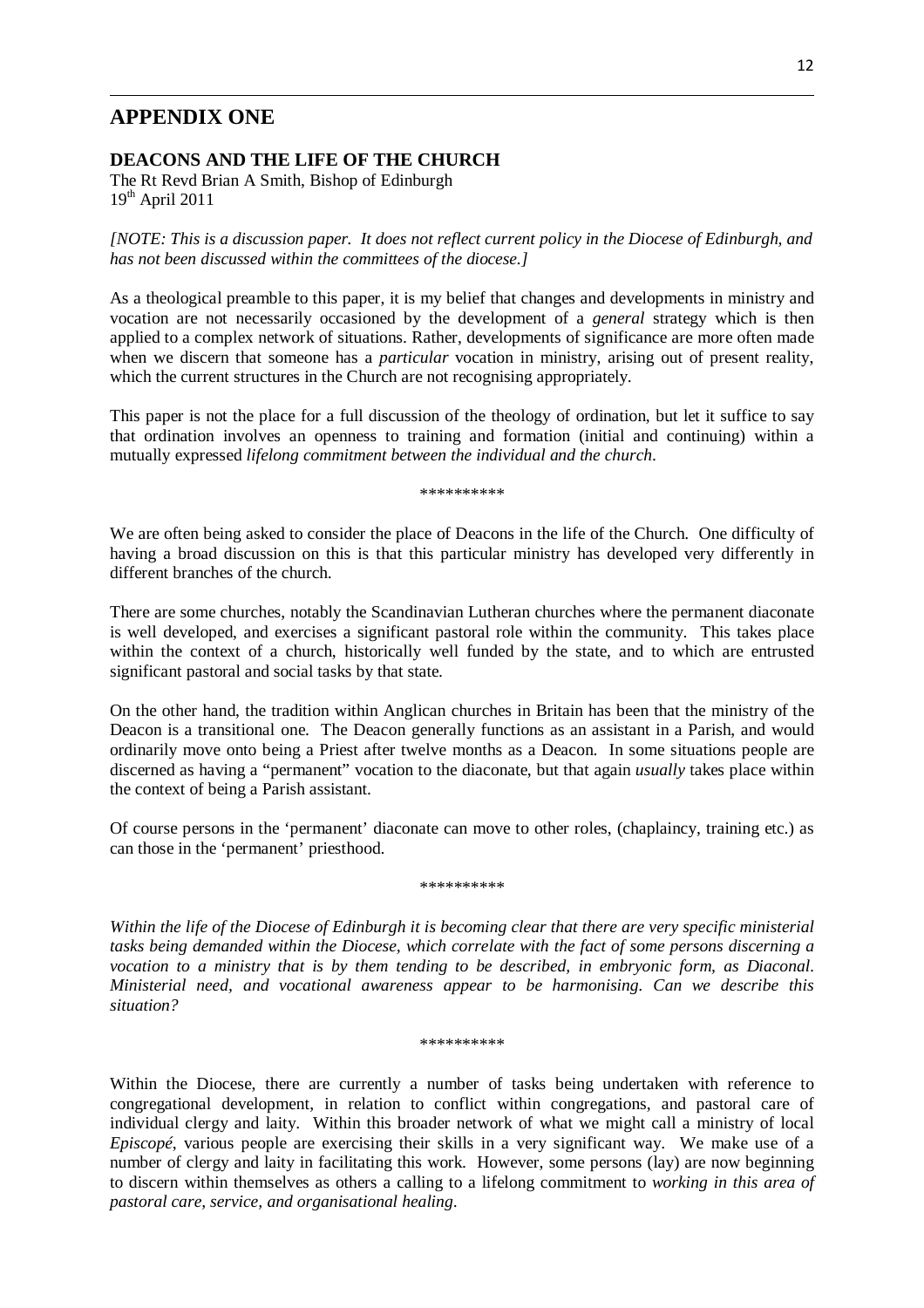## **APPENDIX ONE**

 $\overline{a}$ 

#### **DEACONS AND THE LIFE OF THE CHURCH**

The Rt Revd Brian A Smith, Bishop of Edinburgh  $19^{th}$  April 2011

*[NOTE: This is a discussion paper. It does not reflect current policy in the Diocese of Edinburgh, and has not been discussed within the committees of the diocese.]* 

As a theological preamble to this paper, it is my belief that changes and developments in ministry and vocation are not necessarily occasioned by the development of a *general* strategy which is then applied to a complex network of situations. Rather, developments of significance are more often made when we discern that someone has a *particular* vocation in ministry, arising out of present reality, which the current structures in the Church are not recognising appropriately.

This paper is not the place for a full discussion of the theology of ordination, but let it suffice to say that ordination involves an openness to training and formation (initial and continuing) within a mutually expressed *lifelong commitment between the individual and the church*.

\*\*\*\*\*\*\*\*\*\*

We are often being asked to consider the place of Deacons in the life of the Church. One difficulty of having a broad discussion on this is that this particular ministry has developed very differently in different branches of the church.

There are some churches, notably the Scandinavian Lutheran churches where the permanent diaconate is well developed, and exercises a significant pastoral role within the community. This takes place within the context of a church, historically well funded by the state, and to which are entrusted significant pastoral and social tasks by that state.

On the other hand, the tradition within Anglican churches in Britain has been that the ministry of the Deacon is a transitional one. The Deacon generally functions as an assistant in a Parish, and would ordinarily move onto being a Priest after twelve months as a Deacon. In some situations people are discerned as having a "permanent" vocation to the diaconate, but that again *usually* takes place within the context of being a Parish assistant.

Of course persons in the 'permanent' diaconate can move to other roles, (chaplaincy, training etc.) as can those in the 'permanent' priesthood.

\*\*\*\*\*\*\*\*\*\*

*Within the life of the Diocese of Edinburgh it is becoming clear that there are very specific ministerial tasks being demanded within the Diocese, which correlate with the fact of some persons discerning a vocation to a ministry that is by them tending to be described, in embryonic form, as Diaconal. Ministerial need, and vocational awareness appear to be harmonising. Can we describe this situation?* 

\*\*\*\*\*\*\*\*\*\*

Within the Diocese, there are currently a number of tasks being undertaken with reference to congregational development, in relation to conflict within congregations, and pastoral care of individual clergy and laity. Within this broader network of what we might call a ministry of local *Episcopé*, various people are exercising their skills in a very significant way. We make use of a number of clergy and laity in facilitating this work. However, some persons (lay) are now beginning to discern within themselves as others a calling to a lifelong commitment to *working in this area of pastoral care, service, and organisational healing*.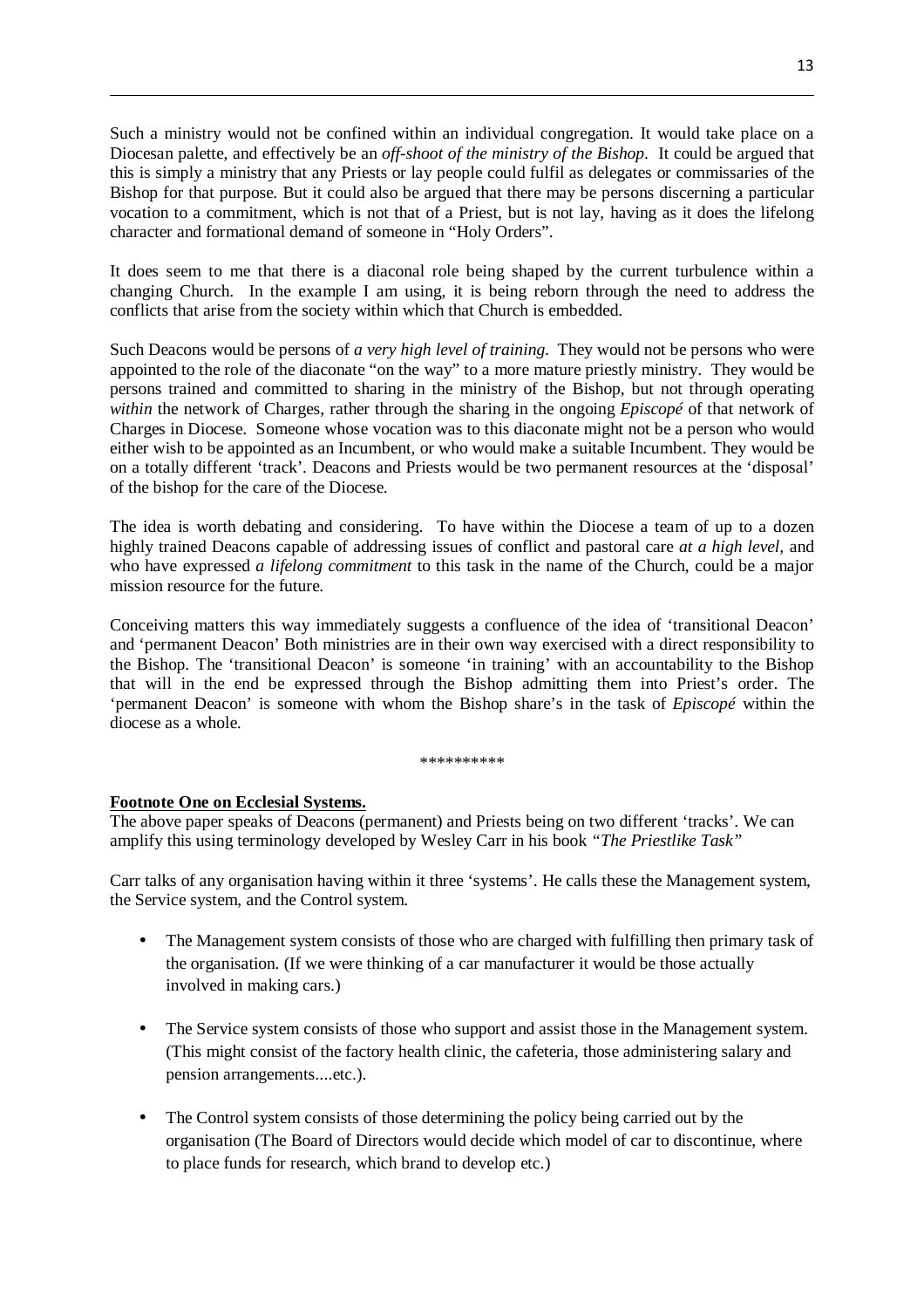Such a ministry would not be confined within an individual congregation. It would take place on a Diocesan palette, and effectively be an *off-shoot of the ministry of the Bishop*. It could be argued that this is simply a ministry that any Priests or lay people could fulfil as delegates or commissaries of the Bishop for that purpose. But it could also be argued that there may be persons discerning a particular vocation to a commitment, which is not that of a Priest, but is not lay, having as it does the lifelong character and formational demand of someone in "Holy Orders".

It does seem to me that there is a diaconal role being shaped by the current turbulence within a changing Church. In the example I am using, it is being reborn through the need to address the conflicts that arise from the society within which that Church is embedded.

Such Deacons would be persons of *a very high level of training*. They would not be persons who were appointed to the role of the diaconate "on the way" to a more mature priestly ministry. They would be persons trained and committed to sharing in the ministry of the Bishop, but not through operating *within* the network of Charges, rather through the sharing in the ongoing *Episcopé* of that network of Charges in Diocese. Someone whose vocation was to this diaconate might not be a person who would either wish to be appointed as an Incumbent, or who would make a suitable Incumbent. They would be on a totally different 'track'. Deacons and Priests would be two permanent resources at the 'disposal' of the bishop for the care of the Diocese.

The idea is worth debating and considering. To have within the Diocese a team of up to a dozen highly trained Deacons capable of addressing issues of conflict and pastoral care *at a high level,* and who have expressed *a lifelong commitment* to this task in the name of the Church, could be a major mission resource for the future.

Conceiving matters this way immediately suggests a confluence of the idea of 'transitional Deacon' and 'permanent Deacon' Both ministries are in their own way exercised with a direct responsibility to the Bishop. The 'transitional Deacon' is someone 'in training' with an accountability to the Bishop that will in the end be expressed through the Bishop admitting them into Priest's order. The 'permanent Deacon' is someone with whom the Bishop share's in the task of *Episcopé* within the diocese as a whole.

\*\*\*\*\*\*\*\*\*\*

#### **Footnote One on Ecclesial Systems.**

 $\overline{a}$ 

The above paper speaks of Deacons (permanent) and Priests being on two different 'tracks'. We can amplify this using terminology developed by Wesley Carr in his book *"The Priestlike Task"* 

Carr talks of any organisation having within it three 'systems'. He calls these the Management system, the Service system, and the Control system.

- The Management system consists of those who are charged with fulfilling then primary task of the organisation. (If we were thinking of a car manufacturer it would be those actually involved in making cars.)
- The Service system consists of those who support and assist those in the Management system. (This might consist of the factory health clinic, the cafeteria, those administering salary and pension arrangements....etc.).
- The Control system consists of those determining the policy being carried out by the organisation (The Board of Directors would decide which model of car to discontinue, where to place funds for research, which brand to develop etc.)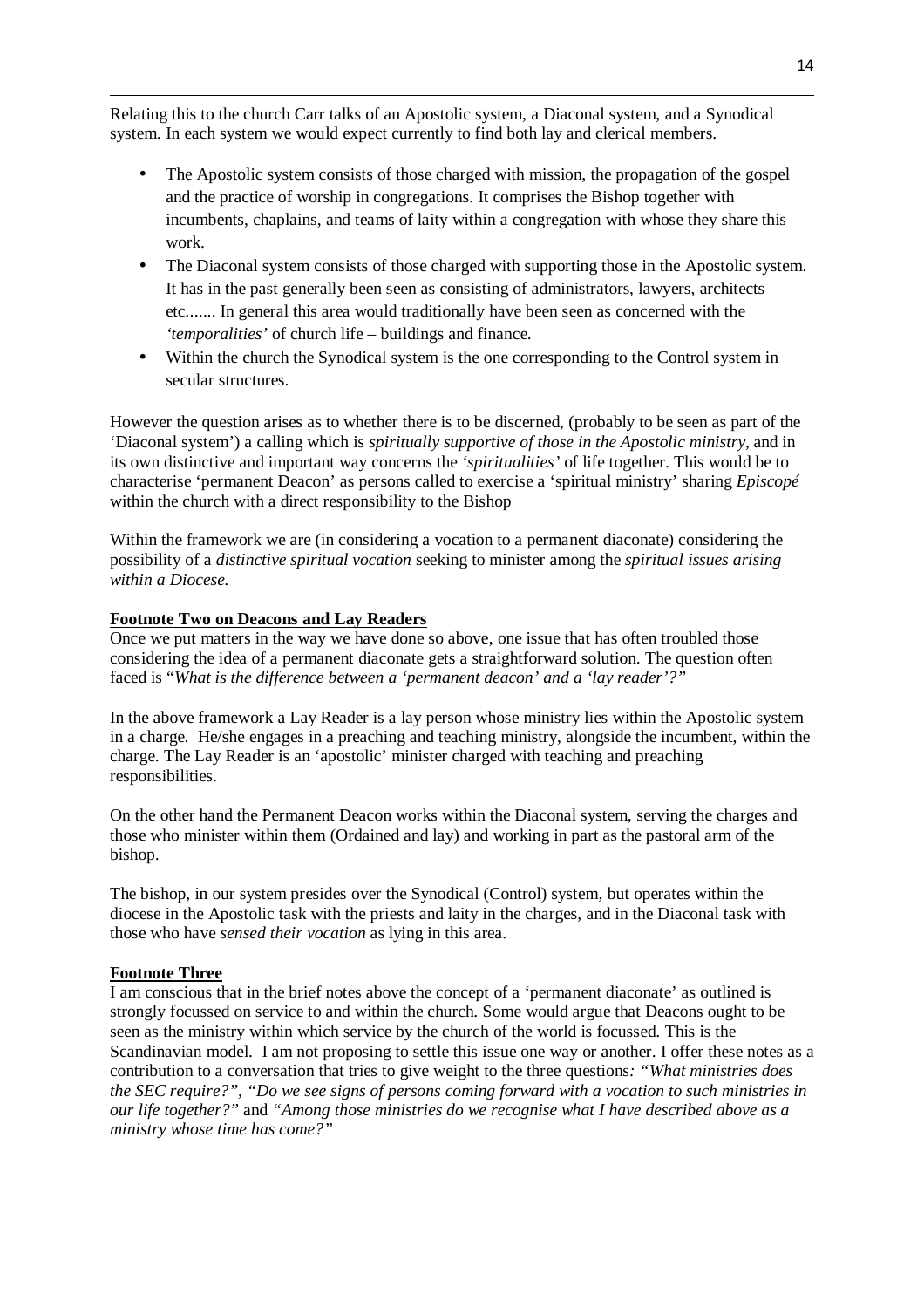Relating this to the church Carr talks of an Apostolic system, a Diaconal system, and a Synodical system. In each system we would expect currently to find both lay and clerical members.

- The Apostolic system consists of those charged with mission, the propagation of the gospel and the practice of worship in congregations. It comprises the Bishop together with incumbents, chaplains, and teams of laity within a congregation with whose they share this work.
- The Diaconal system consists of those charged with supporting those in the Apostolic system. It has in the past generally been seen as consisting of administrators, lawyers, architects etc....... In general this area would traditionally have been seen as concerned with the *'temporalities'* of church life – buildings and finance.
- Within the church the Synodical system is the one corresponding to the Control system in secular structures.

However the question arises as to whether there is to be discerned, (probably to be seen as part of the 'Diaconal system') a calling which is *spiritually supportive of those in the Apostolic ministry*, and in its own distinctive and important way concerns the *'spiritualities'* of life together. This would be to characterise 'permanent Deacon' as persons called to exercise a 'spiritual ministry' sharing *Episcopé* within the church with a direct responsibility to the Bishop

Within the framework we are (in considering a vocation to a permanent diaconate) considering the possibility of a *distinctive spiritual vocation* seeking to minister among the *spiritual issues arising within a Diocese.*

#### **Footnote Two on Deacons and Lay Readers**

Once we put matters in the way we have done so above, one issue that has often troubled those considering the idea of a permanent diaconate gets a straightforward solution. The question often faced is "*What is the difference between a 'permanent deacon' and a 'lay reader'?"* 

In the above framework a Lay Reader is a lay person whose ministry lies within the Apostolic system in a charge. He/she engages in a preaching and teaching ministry, alongside the incumbent, within the charge. The Lay Reader is an 'apostolic' minister charged with teaching and preaching responsibilities.

On the other hand the Permanent Deacon works within the Diaconal system, serving the charges and those who minister within them (Ordained and lay) and working in part as the pastoral arm of the bishop.

The bishop, in our system presides over the Synodical (Control) system, but operates within the diocese in the Apostolic task with the priests and laity in the charges, and in the Diaconal task with those who have *sensed their vocation* as lying in this area.

#### **Footnote Three**

 $\overline{a}$ 

I am conscious that in the brief notes above the concept of a 'permanent diaconate' as outlined is strongly focussed on service to and within the church. Some would argue that Deacons ought to be seen as the ministry within which service by the church of the world is focussed. This is the Scandinavian model. I am not proposing to settle this issue one way or another. I offer these notes as a contribution to a conversation that tries to give weight to the three questions*: "What ministries does the SEC require?", "Do we see signs of persons coming forward with a vocation to such ministries in our life together?"* and *"Among those ministries do we recognise what I have described above as a ministry whose time has come?"*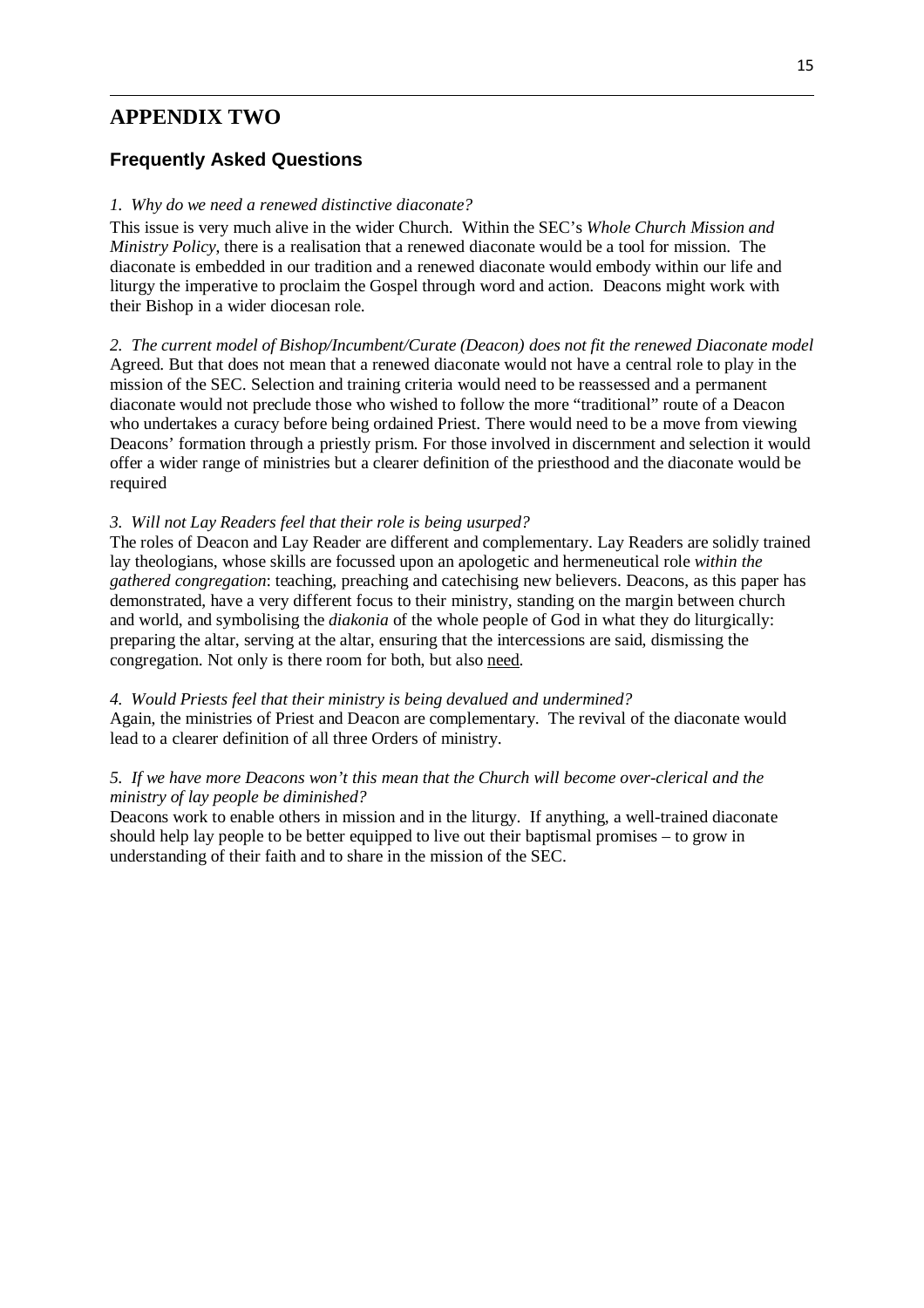# **APPENDIX TWO**

 $\overline{a}$ 

### **Frequently Asked Questions**

#### *1. Why do we need a renewed distinctive diaconate?*

This issue is very much alive in the wider Church. Within the SEC's *Whole Church Mission and Ministry Policy*, there is a realisation that a renewed diaconate would be a tool for mission. The diaconate is embedded in our tradition and a renewed diaconate would embody within our life and liturgy the imperative to proclaim the Gospel through word and action. Deacons might work with their Bishop in a wider diocesan role.

*2. The current model of Bishop/Incumbent/Curate (Deacon) does not fit the renewed Diaconate model*  Agreed. But that does not mean that a renewed diaconate would not have a central role to play in the mission of the SEC. Selection and training criteria would need to be reassessed and a permanent diaconate would not preclude those who wished to follow the more "traditional" route of a Deacon who undertakes a curacy before being ordained Priest. There would need to be a move from viewing Deacons' formation through a priestly prism. For those involved in discernment and selection it would offer a wider range of ministries but a clearer definition of the priesthood and the diaconate would be required

#### *3. Will not Lay Readers feel that their role is being usurped?*

The roles of Deacon and Lay Reader are different and complementary. Lay Readers are solidly trained lay theologians, whose skills are focussed upon an apologetic and hermeneutical role *within the gathered congregation*: teaching, preaching and catechising new believers. Deacons, as this paper has demonstrated, have a very different focus to their ministry, standing on the margin between church and world, and symbolising the *diakonia* of the whole people of God in what they do liturgically: preparing the altar, serving at the altar, ensuring that the intercessions are said, dismissing the congregation. Not only is there room for both, but also need.

#### *4. Would Priests feel that their ministry is being devalued and undermined?*

Again, the ministries of Priest and Deacon are complementary. The revival of the diaconate would lead to a clearer definition of all three Orders of ministry.

#### *5. If we have more Deacons won't this mean that the Church will become over-clerical and the ministry of lay people be diminished?*

Deacons work to enable others in mission and in the liturgy. If anything, a well-trained diaconate should help lay people to be better equipped to live out their baptismal promises – to grow in understanding of their faith and to share in the mission of the SEC.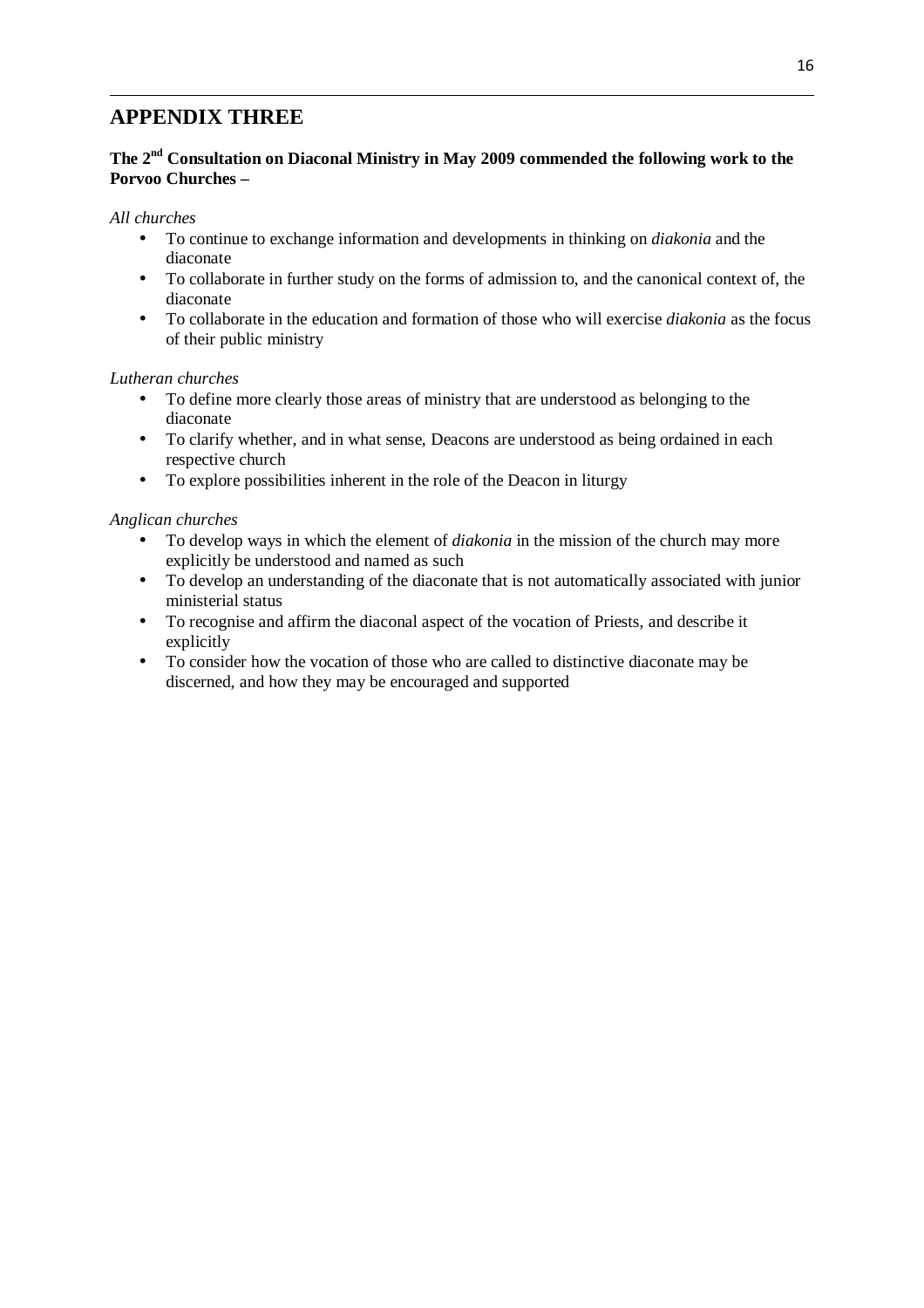# **APPENDIX THREE**

#### **The 2nd Consultation on Diaconal Ministry in May 2009 commended the following work to the Porvoo Churches –**

#### *All churches*

 $\overline{a}$ 

- To continue to exchange information and developments in thinking on *diakonia* and the diaconate
- To collaborate in further study on the forms of admission to, and the canonical context of, the diaconate
- To collaborate in the education and formation of those who will exercise *diakonia* as the focus of their public ministry

#### *Lutheran churches*

- To define more clearly those areas of ministry that are understood as belonging to the diaconate
- To clarify whether, and in what sense, Deacons are understood as being ordained in each respective church
- To explore possibilities inherent in the role of the Deacon in liturgy

#### *Anglican churches*

- To develop ways in which the element of *diakonia* in the mission of the church may more explicitly be understood and named as such
- To develop an understanding of the diaconate that is not automatically associated with junior ministerial status
- To recognise and affirm the diaconal aspect of the vocation of Priests, and describe it explicitly
- To consider how the vocation of those who are called to distinctive diaconate may be discerned, and how they may be encouraged and supported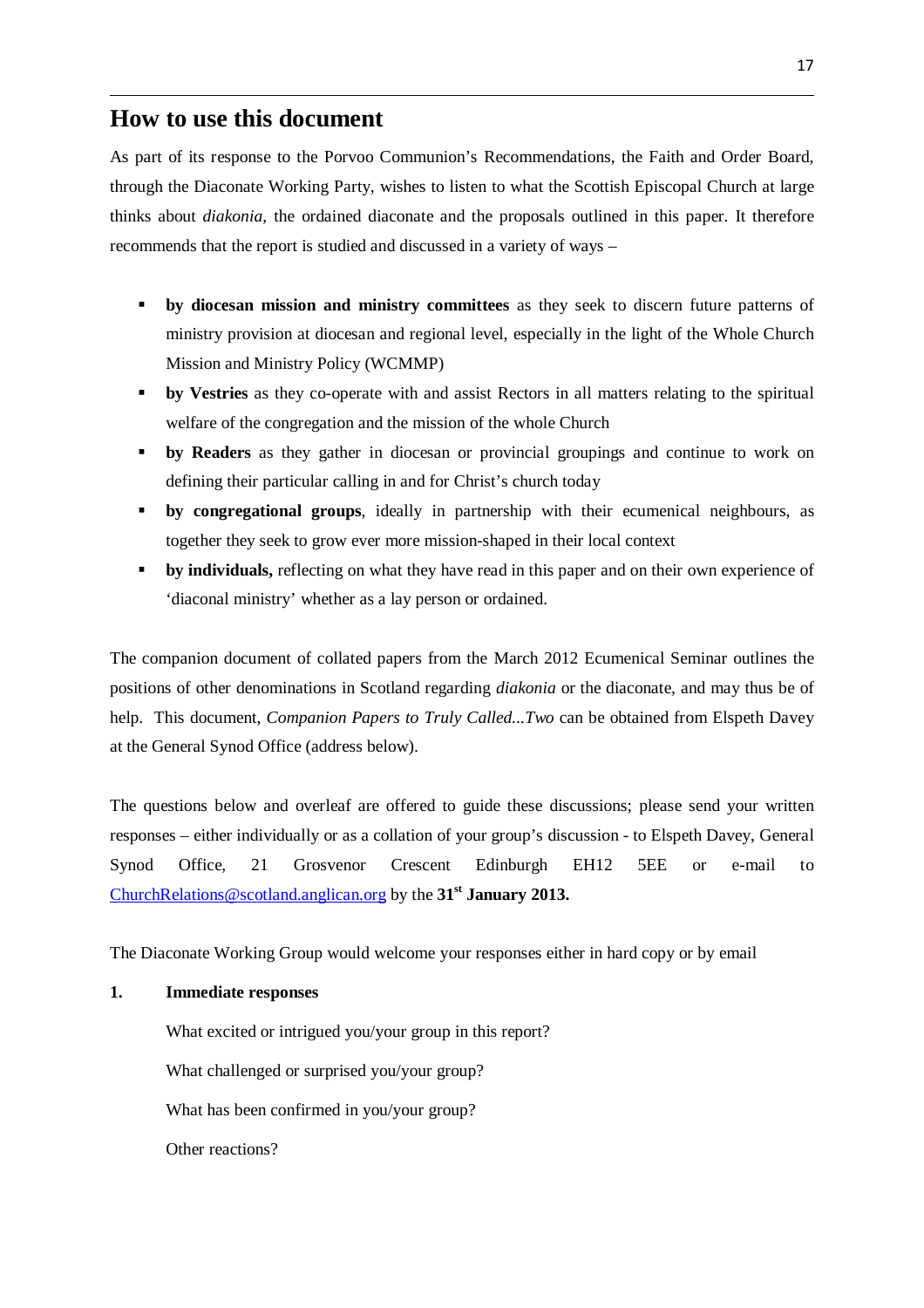# **How to use this document**

 $\overline{a}$ 

As part of its response to the Porvoo Communion's Recommendations, the Faith and Order Board, through the Diaconate Working Party, wishes to listen to what the Scottish Episcopal Church at large thinks about *diakonia*, the ordained diaconate and the proposals outlined in this paper. It therefore recommends that the report is studied and discussed in a variety of ways –

- **by diocesan mission and ministry committees** as they seek to discern future patterns of ministry provision at diocesan and regional level, especially in the light of the Whole Church Mission and Ministry Policy (WCMMP)
- **by Vestries** as they co-operate with and assist Rectors in all matters relating to the spiritual welfare of the congregation and the mission of the whole Church
- **by Readers** as they gather in diocesan or provincial groupings and continue to work on defining their particular calling in and for Christ's church today
- **by congregational groups**, ideally in partnership with their ecumenical neighbours, as together they seek to grow ever more mission-shaped in their local context
- **by individuals,** reflecting on what they have read in this paper and on their own experience of 'diaconal ministry' whether as a lay person or ordained.

The companion document of collated papers from the March 2012 Ecumenical Seminar outlines the positions of other denominations in Scotland regarding *diakonia* or the diaconate, and may thus be of help. This document, *Companion Papers to Truly Called...Two* can be obtained from Elspeth Davey at the General Synod Office (address below).

The questions below and overleaf are offered to guide these discussions; please send your written responses – either individually or as a collation of your group's discussion - to Elspeth Davey, General Synod Office, 21 Grosvenor Crescent Edinburgh EH12 5EE or e-mail to ChurchRelations@scotland.anglican.org by the **31st January 2013.**

The Diaconate Working Group would welcome your responses either in hard copy or by email

#### **1. Immediate responses**

 What excited or intrigued you/your group in this report? What challenged or surprised you/your group? What has been confirmed in you/your group? Other reactions?